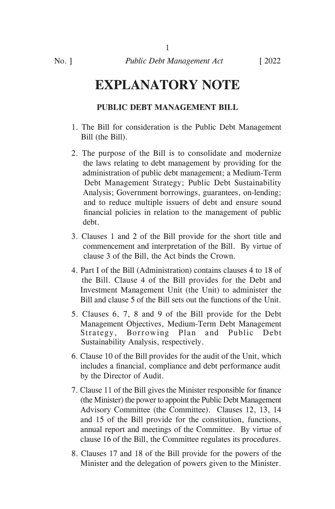1

# **EXPLANATORY NOTE**

# **PUBLIC DEBT MANAGEMENT BILL**

- 1. The Bill for consideration is the Public Debt Management Bill (the Bill).
- 2. The purpose of the Bill is to consolidate and modernize the laws relating to debt management by providing for the administration of public debt management; a Medium-Term Debt Management Strategy; Public Debt Sustainability Analysis; Government borrowings, guarantees, on-lending; and to reduce multiple issuers of debt and ensure sound financial policies in relation to the management of public debt.
- 3. Clauses 1 and 2 of the Bill provide for the short title and commencement and interpretation of the Bill. By virtue of clause 3 of the Bill, the Act binds the Crown.
- 4. Part I of the Bill (Administration) contains clauses 4 to 18 of the Bill. Clause 4 of the Bill provides for the Debt and Investment Management Unit (the Unit) to administer the Bill and clause 5 of the Bill sets out the functions of the Unit.
- 5. Clauses 6, 7, 8 and 9 of the Bill provide for the Debt Management Objectives, Medium-Term Debt Management Strategy, Borrowing Plan and Public Debt Sustainability Analysis, respectively.
- 6. Clause 10 of the Bill provides for the audit of the Unit, which includes a financial, compliance and debt performance audit by the Director of Audit.
- 7. Clause 11 of the Bill gives the Minister responsible for finance (the Minister) the power to appoint the Public Debt Management Advisory Committee (the Committee). Clauses 12, 13, 14 and 15 of the Bill provide for the constitution, functions, annual report and meetings of the Committee. By virtue of clause 16 of the Bill, the Committee regulates its procedures.
- 8. Clauses 17 and 18 of the Bill provide for the powers of the Minister and the delegation of powers given to the Minister.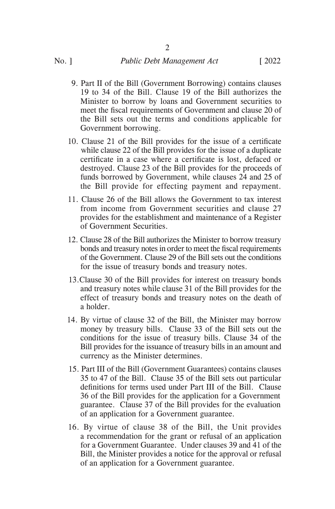- 9. Part II of the Bill (Government Borrowing) contains clauses 19 to 34 of the Bill. Clause 19 of the Bill authorizes the Minister to borrow by loans and Government securities to meet the fiscal requirements of Government and clause 20 of the Bill sets out the terms and conditions applicable for Government borrowing.
- 10. Clause 21 of the Bill provides for the issue of a certificate while clause 22 of the Bill provides for the issue of a duplicate certificate in a case where a certificate is lost, defaced or destroyed. Clause 23 of the Bill provides for the proceeds of funds borrowed by Government, while clauses 24 and 25 of the Bill provide for effecting payment and repayment.
- 11. Clause 26 of the Bill allows the Government to tax interest from income from Government securities and clause 27 provides for the establishment and maintenance of a Register of Government Securities.
- 12. Clause 28 of the Bill authorizes the Minister to borrow treasury bonds and treasury notes in order to meet the fiscal requirements of the Government. Clause 29 of the Bill sets out the conditions for the issue of treasury bonds and treasury notes.
- 13.Clause 30 of the Bill provides for interest on treasury bonds and treasury notes while clause 31 of the Bill provides for the effect of treasury bonds and treasury notes on the death of a holder.
- 14. By virtue of clause 32 of the Bill, the Minister may borrow money by treasury bills. Clause 33 of the Bill sets out the conditions for the issue of treasury bills. Clause 34 of the Bill provides for the issuance of treasury bills in an amount and currency as the Minister determines.
- 15. Part III of the Bill (Government Guarantees) contains clauses 35 to 47 of the Bill. Clause 35 of the Bill sets out particular definitions for terms used under Part III of the Bill. Clause 36 of the Bill provides for the application for a Government guarantee. Clause 37 of the Bill provides for the evaluation of an application for a Government guarantee.
- 16. By virtue of clause 38 of the Bill, the Unit provides a recommendation for the grant or refusal of an application for a Government Guarantee. Under clauses 39 and 41 of the Bill, the Minister provides a notice for the approval or refusal of an application for a Government guarantee.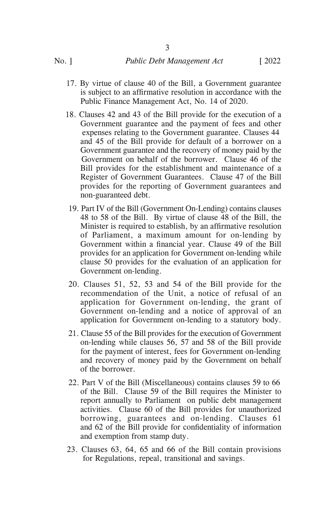3

- 17. By virtue of clause 40 of the Bill, a Government guarantee is subject to an affirmative resolution in accordance with the Public Finance Management Act, No. 14 of 2020.
- 18. Clauses 42 and 43 of the Bill provide for the execution of a Government guarantee and the payment of fees and other expenses relating to the Government guarantee. Clauses 44 and 45 of the Bill provide for default of a borrower on a Government guarantee and the recovery of money paid by the Government on behalf of the borrower. Clause 46 of the Bill provides for the establishment and maintenance of a Register of Government Guarantees. Clause 47 of the Bill provides for the reporting of Government guarantees and non-guaranteed debt.
- 19. Part IV of the Bill (Government On-Lending) contains clauses 48 to 58 of the Bill. By virtue of clause 48 of the Bill, the Minister is required to establish, by an affirmative resolution of Parliament, a maximum amount for on-lending by Government within a financial year. Clause 49 of the Bill provides for an application for Government on-lending while clause 50 provides for the evaluation of an application for Government on-lending.
- 20. Clauses 51, 52, 53 and 54 of the Bill provide for the recommendation of the Unit, a notice of refusal of an application for Government on-lending, the grant of Government on-lending and a notice of approval of an application for Government on-lending to a statutory body.
- 21. Clause 55 of the Bill provides for the execution of Government on-lending while clauses 56, 57 and 58 of the Bill provide for the payment of interest, fees for Government on-lending and recovery of money paid by the Government on behalf of the borrower.
- 22. Part V of the Bill (Miscellaneous) contains clauses 59 to 66 of the Bill. Clause 59 of the Bill requires the Minister to report annually to Parliament on public debt management activities. Clause 60 of the Bill provides for unauthorized borrowing, guarantees and on-lending. Clauses 61 and 62 of the Bill provide for confidentiality of information and exemption from stamp duty.
- 23. Clauses 63, 64, 65 and 66 of the Bill contain provisions for Regulations, repeal, transitional and savings.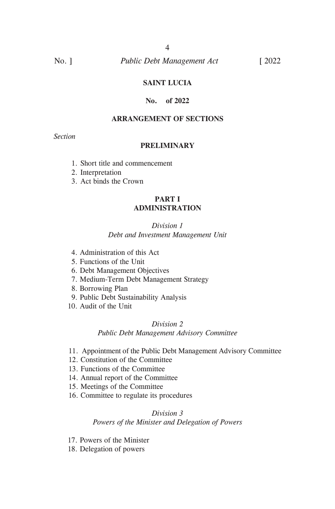# **SAINT LUCIA**

# **No. of 2022**

# **ARRANGEMENT OF SECTIONS**

*Section*

### **PRELIMINARY**

- 1. Short title and commencement
- 2. Interpretation
- 3. Act binds the Crown

# **PART I ADMINISTRATION**

### *Division 1 Debt and Investment Management Unit*

- 4. Administration of this Act
- 5. Functions of the Unit
- 6. Debt Management Objectives
- 7. Medium-Term Debt Management Strategy
- 8. Borrowing Plan
- 9. Public Debt Sustainability Analysis
- 10. Audit of the Unit

### *Division 2*

### *Public Debt Management Advisory Committee*

- 11. Appointment of the Public Debt Management Advisory Committee
- 12. Constitution of the Committee
- 13. Functions of the Committee
- 14. Annual report of the Committee
- 15. Meetings of the Committee
- 16. Committee to regulate its procedures

# *Division 3 Powers of the Minister and Delegation of Powers*

- 17. Powers of the Minister
- 18. Delegation of powers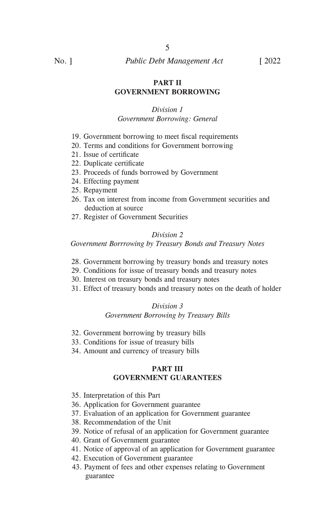### **PART II GOVERNMENT BORROWING**

### *Division 1*

### *Government Borrowing: General*

- 19. Government borrowing to meet fiscal requirements
- 20. Terms and conditions for Government borrowing
- 21. Issue of certificate
- 22. Duplicate certificate
- 23. Proceeds of funds borrowed by Government
- 24. Effecting payment
- 25. Repayment
- 26. Tax on interest from income from Government securities and deduction at source
- 27. Register of Government Securities

# *Division 2*

*Government Borrrowing by Treasury Bonds and Treasury Notes*

- 28. Government borrowing by treasury bonds and treasury notes
- 29. Conditions for issue of treasury bonds and treasury notes
- 30. Interest on treasury bonds and treasury notes
- 31. Effect of treasury bonds and treasury notes on the death of holder

### *Division 3*

### *Government Borrowing by Treasury Bills*

- 32. Government borrowing by treasury bills
- 33. Conditions for issue of treasury bills
- 34. Amount and currency of treasury bills

# **PART III GOVERNMENT GUARANTEES**

- 35. Interpretation of this Part
- 36. Application for Government guarantee
- 37. Evaluation of an application for Government guarantee
- 38. Recommendation of the Unit
- 39. Notice of refusal of an application for Government guarantee
- 40. Grant of Government guarantee
- 41. Notice of approval of an application for Government guarantee
- 42. Execution of Government guarantee
- 43. Payment of fees and other expenses relating to Government guarantee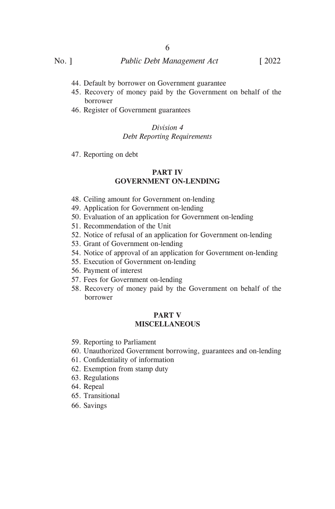- 44. Default by borrower on Government guarantee
- 45. Recovery of money paid by the Government on behalf of the borrower
- 46. Register of Government guarantees

# *Division 4 Debt Reporting Requirements*

47. Reporting on debt

# **PART IV GOVERNMENT ON-LENDING**

- 48. Ceiling amount for Government on-lending
- 49. Application for Government on-lending
- 50. Evaluation of an application for Government on-lending
- 51. Recommendation of the Unit
- 52. Notice of refusal of an application for Government on-lending
- 53. Grant of Government on-lending
- 54. Notice of approval of an application for Government on-lending
- 55. Execution of Government on-lending
- 56. Payment of interest
- 57. Fees for Government on-lending
- 58. Recovery of money paid by the Government on behalf of the borrower

# **PART V MISCELLANEOUS**

- 59. Reporting to Parliament
- 60. Unauthorized Government borrowing, guarantees and on-lending
- 61. Confidentiality of information
- 62. Exemption from stamp duty
- 63. Regulations
- 64. Repeal
- 65. Transitional
- 66. Savings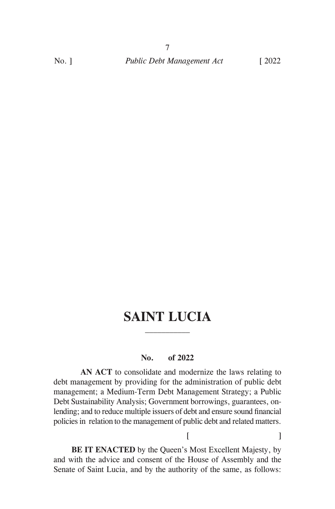# **SAINT LUCIA**

# **No. of 2022**

**AN ACT** to consolidate and modernize the laws relating to debt management by providing for the administration of public debt management; a Medium-Term Debt Management Strategy; a Public Debt Sustainability Analysis; Government borrowings, guarantees, onlending; and to reduce multiple issuers of debt and ensure sound financial policies in relation to the management of public debt and related matters.

**BE IT ENACTED** by the Queen's Most Excellent Majesty, by and with the advice and consent of the House of Assembly and the Senate of Saint Lucia, and by the authority of the same, as follows:

 $[$   $]$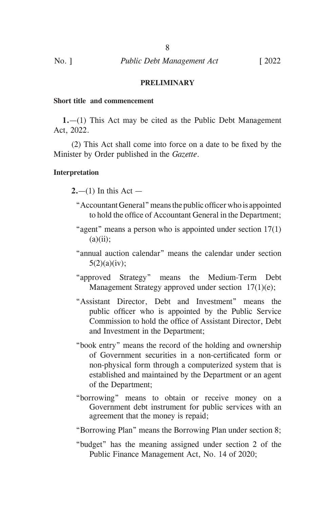### **PRELIMINARY**

### **Short title and commencement**

**1.**—(1) This Act may be cited as the Public Debt Management Act, 2022.

(2) This Act shall come into force on a date to be fixed by the Minister by Order published in the *Gazette*.

### **Interpretation**

 $2.-(1)$  In this Act —

- "AccountantGeneral"meansthe public officerwho is appointed to hold the office of Accountant General in the Department;
- "agent" means a person who is appointed under section 17(1)  $(a)(ii)$ :
- "annual auction calendar" means the calendar under section 5(2)(a)(iv);
- "approved Strategy" means the Medium-Term Debt Management Strategy approved under section 17(1)(e);
- "Assistant Director, Debt and Investment" means the public officer who is appointed by the Public Service Commission to hold the office of Assistant Director, Debt and Investment in the Department;
- "book entry" means the record of the holding and ownership of Government securities in a non-certificated form or non-physical form through a computerized system that is established and maintained by the Department or an agent of the Department;
- "borrowing" means to obtain or receive money on a Government debt instrument for public services with an agreement that the money is repaid;

"Borrowing Plan" means the Borrowing Plan under section 8;

"budget" has the meaning assigned under section 2 of the Public Finance Management Act, No. 14 of 2020;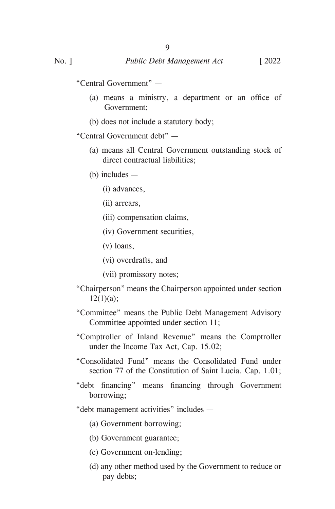"Central Government" —

- (a) means a ministry, a department or an office of Government;
- (b) does not include a statutory body;

"Central Government debt" —

- (a) means all Central Government outstanding stock of direct contractual liabilities;
- (b) includes
	- (i) advances,
	- (ii) arrears,
	- (iii) compensation claims,
	- (iv) Government securities,
	- (v) loans,
	- (vi) overdrafts, and
	- (vii) promissory notes;
- "Chairperson" means the Chairperson appointed under section  $12(1)(a);$
- "Committee" means the Public Debt Management Advisory Committee appointed under section 11;
- "Comptroller of Inland Revenue" means the Comptroller under the Income Tax Act, Cap. 15.02;
- "Consolidated Fund" means the Consolidated Fund under section 77 of the Constitution of Saint Lucia. Cap. 1.01;
- "debt financing" means financing through Government borrowing;

"debt management activities" includes —

- (a) Government borrowing;
- (b) Government guarantee;
- (c) Government on-lending;
- (d) any other method used by the Government to reduce or pay debts;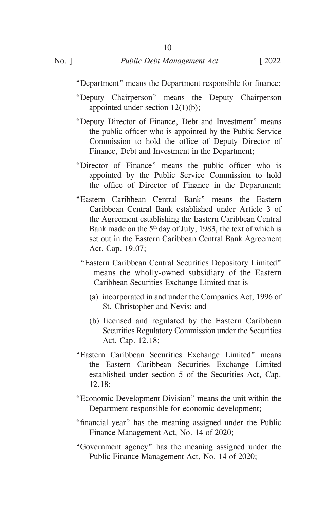"Department" means the Department responsible for finance;

- "Deputy Chairperson" means the Deputy Chairperson appointed under section 12(1)(b);
- "Deputy Director of Finance, Debt and Investment" means the public officer who is appointed by the Public Service Commission to hold the office of Deputy Director of Finance, Debt and Investment in the Department;
- "Director of Finance" means the public officer who is appointed by the Public Service Commission to hold the office of Director of Finance in the Department;
- "Eastern Caribbean Central Bank" means the Eastern Caribbean Central Bank established under Article 3 of the Agreement establishing the Eastern Caribbean Central Bank made on the 5<sup>th</sup> day of July, 1983, the text of which is set out in the Eastern Caribbean Central Bank Agreement Act, Cap. 19.07;
	- "Eastern Caribbean Central Securities Depository Limited" means the wholly-owned subsidiary of the Eastern Caribbean Securities Exchange Limited that is —
		- (a) incorporated in and under the Companies Act, 1996 of St. Christopher and Nevis; and
		- (b) licensed and regulated by the Eastern Caribbean Securities Regulatory Commission under the Securities Act, Cap. 12.18;
- "Eastern Caribbean Securities Exchange Limited" means the Eastern Caribbean Securities Exchange Limited established under section 5 of the Securities Act, Cap. 12.18;
- "Economic Development Division" means the unit within the Department responsible for economic development;
- "financial year" has the meaning assigned under the Public Finance Management Act, No. 14 of 2020;
- "Government agency" has the meaning assigned under the Public Finance Management Act, No. 14 of 2020;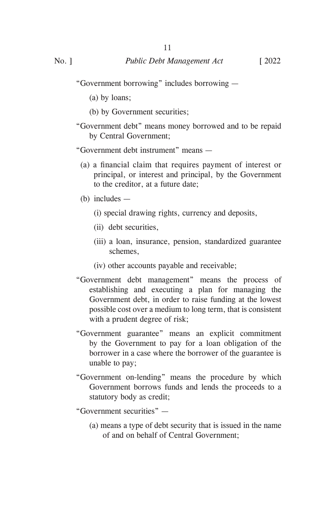"Government borrowing" includes borrowing —

11

(a) by loans;

- (b) by Government securities;
- "Government debt" means money borrowed and to be repaid by Central Government;

"Government debt instrument" means —

 (a) a financial claim that requires payment of interest or principal, or interest and principal, by the Government to the creditor, at a future date;

(b) includes —

- (i) special drawing rights, currency and deposits,
- (ii) debt securities,
- (iii) a loan, insurance, pension, standardized guarantee schemes,
- (iv) other accounts payable and receivable;
- "Government debt management" means the process of establishing and executing a plan for managing the Government debt, in order to raise funding at the lowest possible cost over a medium to long term, that is consistent with a prudent degree of risk;
- "Government guarantee" means an explicit commitment by the Government to pay for a loan obligation of the borrower in a case where the borrower of the guarantee is unable to pay;
- "Government on-lending" means the procedure by which Government borrows funds and lends the proceeds to a statutory body as credit;

"Government securities" —

(a) means a type of debt security that is issued in the name of and on behalf of Central Government;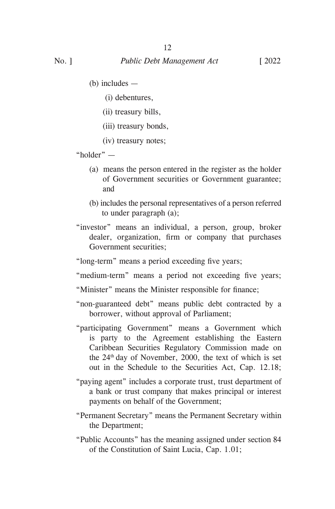(b) includes —

(i) debentures,

(ii) treasury bills,

(iii) treasury bonds,

(iv) treasury notes;

"holder" —

- (a) means the person entered in the register as the holder of Government securities or Government guarantee; and
- (b) includes the personal representatives of a person referred to under paragraph (a);
- "investor" means an individual, a person, group, broker dealer, organization, firm or company that purchases Government securities;

 "long-term" means a period exceeding five years;

"medium-term" means a period not exceeding five years;

 "Minister" means the Minister responsible for finance;

- "non-guaranteed debt" means public debt contracted by a borrower, without approval of Parliament;
- "participating Government" means a Government which is party to the Agreement establishing the Eastern Caribbean Securities Regulatory Commission made on the  $24<sup>th</sup>$  day of November, 2000, the text of which is set out in the Schedule to the Securities Act, Cap. 12.18;
- "paying agent" includes a corporate trust, trust department of a bank or trust company that makes principal or interest payments on behalf of the Government;
- "Permanent Secretary" means the Permanent Secretary within the Department;
- "Public Accounts" has the meaning assigned under section 84 of the Constitution of Saint Lucia, Cap. 1.01;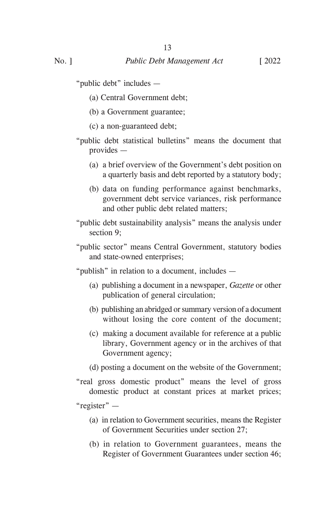"public debt" includes —

- (a) Central Government debt;
- (b) a Government guarantee;
- (c) a non-guaranteed debt;
- "public debt statistical bulletins" means the document that provides —
	- (a) a brief overview of the Government's debt position on a quarterly basis and debt reported by a statutory body;
	- (b) data on funding performance against benchmarks, government debt service variances, risk performance and other public debt related matters;
- "public debt sustainability analysis" means the analysis under section 9;
- "public sector" means Central Government, statutory bodies and state-owned enterprises;

"publish" in relation to a document, includes —

- (a) publishing a document in a newspaper, *Gazette* or other publication of general circulation;
- (b) publishing an abridged or summary version of a document without losing the core content of the document;
- (c) making a document available for reference at a public library, Government agency or in the archives of that Government agency;
- (d) posting a document on the website of the Government;
- "real gross domestic product" means the level of gross domestic product at constant prices at market prices;

"register" —

- (a) in relation to Government securities, means the Register of Government Securities under section 27;
- (b) in relation to Government guarantees, means the Register of Government Guarantees under section 46;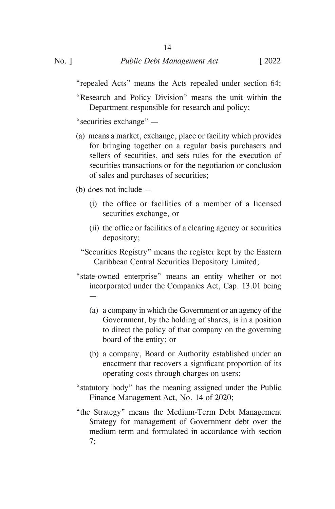"repealed Acts" means the Acts repealed under section 64;

"Research and Policy Division" means the unit within the Department responsible for research and policy;

"securities exchange" —

(a) means a market, exchange, place or facility which provides for bringing together on a regular basis purchasers and sellers of securities, and sets rules for the execution of securities transactions or for the negotiation or conclusion of sales and purchases of securities;

(b) does not include —

—

- (i) the office or facilities of a member of a licensed securities exchange, or
- (ii) the office or facilities of a clearing agency or securities depository;
- "Securities Registry" means the register kept by the Eastern Caribbean Central Securities Depository Limited;
- "state-owned enterprise" means an entity whether or not incorporated under the Companies Act, Cap. 13.01 being
	- (a) a company in which the Government or an agency of the Government, by the holding of shares, is in a position to direct the policy of that company on the governing board of the entity; or
	- (b) a company, Board or Authority established under an enactment that recovers a significant proportion of its operating costs through charges on users;
- "statutory body" has the meaning assigned under the Public Finance Management Act, No. 14 of 2020;
- "the Strategy" means the Medium-Term Debt Management Strategy for management of Government debt over the medium-term and formulated in accordance with section 7;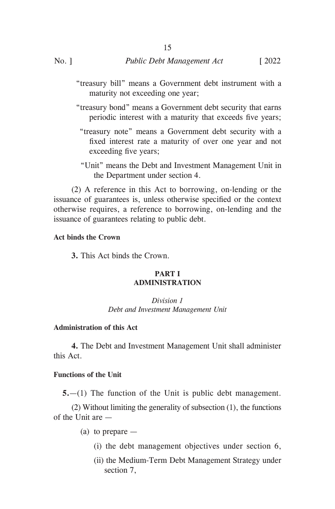"treasury bill" means a Government debt instrument with a maturity not exceeding one year;

15

- "treasury bond" means a Government debt security that earns periodic interest with a maturity that exceeds five years;
	- "treasury note" means a Government debt security with a fixed interest rate a maturity of over one year and not exceeding five years;
	- "Unit" means the Debt and Investment Management Unit in the Department under section 4.

(2) A reference in this Act to borrowing, on-lending or the issuance of guarantees is, unless otherwise specified or the context otherwise requires, a reference to borrowing, on-lending and the issuance of guarantees relating to public debt.

# **Act binds the Crown**

**3.** This Act binds the Crown.

# **PART I ADMINISTRATION**

*Division 1 Debt and Investment Management Unit*

# **Administration of this Act**

**4.** The Debt and Investment Management Unit shall administer this Act.

### **Functions of the Unit**

**5.**—(1) The function of the Unit is public debt management.

(2) Without limiting the generality of subsection (1), the functions of the Unit are —

- (a) to prepare
	- (i) the debt management objectives under section 6,
	- (ii) the Medium-Term Debt Management Strategy under section 7,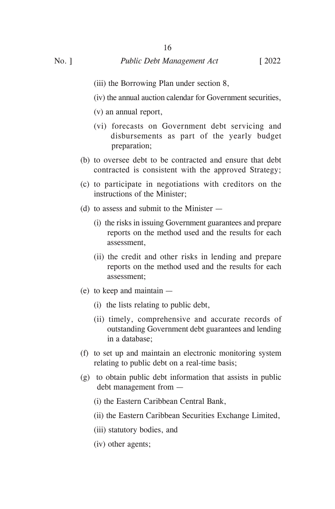- 
- (iii) the Borrowing Plan under section 8,

16

- (iv) the annual auction calendar for Government securities,
- (v) an annual report,
- (vi) forecasts on Government debt servicing and disbursements as part of the yearly budget preparation;
- (b) to oversee debt to be contracted and ensure that debt contracted is consistent with the approved Strategy;
- (c) to participate in negotiations with creditors on the instructions of the Minister;
- (d) to assess and submit to the Minister
	- (i) the risks in issuing Government guarantees and prepare reports on the method used and the results for each assessment,
	- (ii) the credit and other risks in lending and prepare reports on the method used and the results for each assessment;
- (e) to keep and maintain
	- (i) the lists relating to public debt,
	- (ii) timely, comprehensive and accurate records of outstanding Government debt guarantees and lending in a database;
- (f) to set up and maintain an electronic monitoring system relating to public debt on a real-time basis;
- (g) to obtain public debt information that assists in public debt management from —
	- (i) the Eastern Caribbean Central Bank,
	- (ii) the Eastern Caribbean Securities Exchange Limited,
	- (iii) statutory bodies, and
	- (iv) other agents;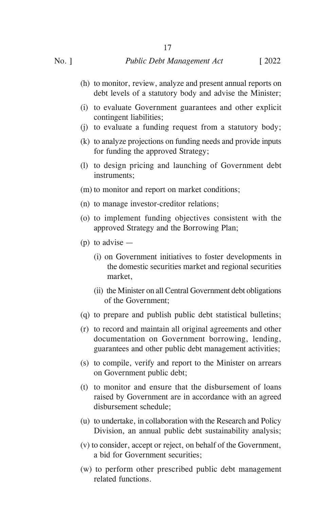- (h) to monitor, review, analyze and present annual reports on debt levels of a statutory body and advise the Minister;
- (i) to evaluate Government guarantees and other explicit contingent liabilities;
- (j) to evaluate a funding request from a statutory body;
- (k) to analyze projections on funding needs and provide inputs for funding the approved Strategy;
- (l) to design pricing and launching of Government debt instruments;
- (m) to monitor and report on market conditions;
- (n) to manage investor-creditor relations;
- (o) to implement funding objectives consistent with the approved Strategy and the Borrowing Plan;
- $(p)$  to advise
	- (i) on Government initiatives to foster developments in the domestic securities market and regional securities market,
	- (ii) the Minister on all Central Government debt obligations of the Government;
- (q) to prepare and publish public debt statistical bulletins;
- (r) to record and maintain all original agreements and other documentation on Government borrowing, lending, guarantees and other public debt management activities;
- (s) to compile, verify and report to the Minister on arrears on Government public debt;
- (t) to monitor and ensure that the disbursement of loans raised by Government are in accordance with an agreed disbursement schedule;
- (u) to undertake, in collaboration with the Research and Policy Division, an annual public debt sustainability analysis;
- (v) to consider, accept or reject, on behalf of the Government, a bid for Government securities;
- (w) to perform other prescribed public debt management related functions.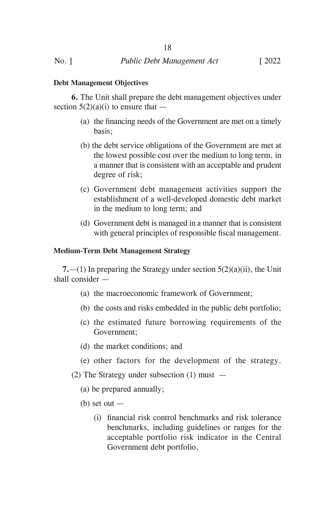### **Debt Management Objectives**

**6.** The Unit shall prepare the debt management objectives under section  $5(2)(a)(i)$  to ensure that —

- (a) the financing needs of the Government are met on a timely basis;
- (b) the debt service obligations of the Government are met at the lowest possible cost over the medium to long term, in a manner that is consistent with an acceptable and prudent degree of risk;
- (c) Government debt management activities support the establishment of a well-developed domestic debt market in the medium to long term; and
- (d) Government debt is managed in a manner that is consistent with general principles of responsible fiscal management.

### **Medium-Term Debt Management Strategy**

**7.**—(1) In preparing the Strategy under section 5(2)(a)(ii), the Unit shall consider —

- (a) the macroeconomic framework of Government;
- (b) the costs and risks embedded in the public debt portfolio;
- (c) the estimated future borrowing requirements of the Government;
- (d) the market conditions; and
- (e) other factors for the development of the strategy.
- (2) The Strategy under subsection (1) must
	- (a) be prepared annually;
	- $(b)$  set out  $-$ 
		- (i) financial risk control benchmarks and risk tolerance benchmarks, including guidelines or ranges for the acceptable portfolio risk indicator in the Central Government debt portfolio,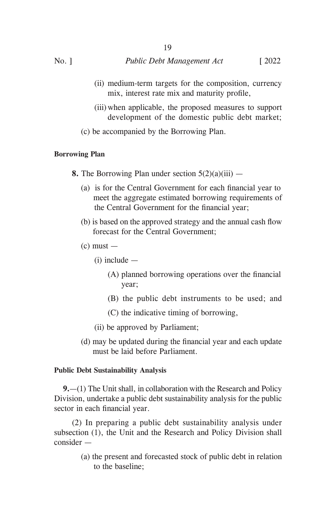- (ii) medium-term targets for the composition, currency mix, interest rate mix and maturity profile,
- (iii) when applicable, the proposed measures to support development of the domestic public debt market;
- (c) be accompanied by the Borrowing Plan.

# **Borrowing Plan**

- **8.** The Borrowing Plan under section 5(2)(a)(iii)
	- (a) is for the Central Government for each financial year to meet the aggregate estimated borrowing requirements of the Central Government for the financial year;
	- (b) is based on the approved strategy and the annual cash flow forecast for the Central Government;
	- $(c)$  must  $-$ 
		- (i) include
			- (A) planned borrowing operations over the financial year;
			- (B) the public debt instruments to be used; and
			- (C) the indicative timing of borrowing,
		- (ii) be approved by Parliament;
	- (d) may be updated during the financial year and each update must be laid before Parliament.

### **Public Debt Sustainability Analysis**

**9.**—(1) The Unit shall, in collaboration with the Research and Policy Division, undertake a public debt sustainability analysis for the public sector in each financial year.

(2) In preparing a public debt sustainability analysis under subsection (1), the Unit and the Research and Policy Division shall consider —

> (a) the present and forecasted stock of public debt in relation to the baseline;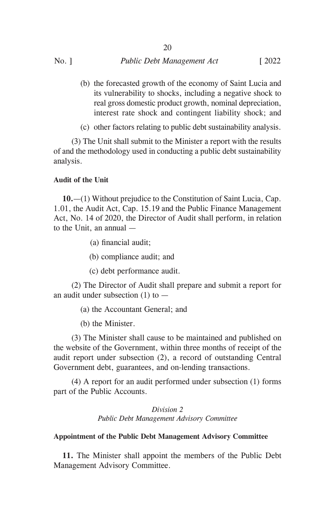| $No.$ ] | Public Debt Management Act | $\sqrt{2022}$ |
|---------|----------------------------|---------------|

(b) the forecasted growth of the economy of Saint Lucia and its vulnerability to shocks, including a negative shock to real gross domestic product growth, nominal depreciation, interest rate shock and contingent liability shock; and

(c) other factors relating to public debt sustainability analysis.

(3) The Unit shall submit to the Minister a report with the results of and the methodology used in conducting a public debt sustainability analysis.

### **Audit of the Unit**

**10.**—(1) Without prejudice to the Constitution of Saint Lucia, Cap. 1.01, the Audit Act, Cap. 15.19 and the Public Finance Management Act, No. 14 of 2020, the Director of Audit shall perform, in relation to the Unit, an annual —

(a) financial audit;

(b) compliance audit; and

(c) debt performance audit.

(2) The Director of Audit shall prepare and submit a report for an audit under subsection  $(1)$  to  $-$ 

(a) the Accountant General; and

(b) the Minister.

(3) The Minister shall cause to be maintained and published on the website of the Government, within three months of receipt of the audit report under subsection (2), a record of outstanding Central Government debt, guarantees, and on-lending transactions.

(4) A report for an audit performed under subsection (1) forms part of the Public Accounts.

> *Division 2 Public Debt Management Advisory Committee*

### **Appointment of the Public Debt Management Advisory Committee**

**11.** The Minister shall appoint the members of the Public Debt Management Advisory Committee.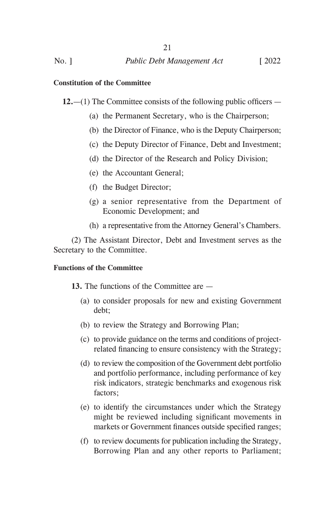# **Constitution of the Committee**

**12.**—(1) The Committee consists of the following public officers —

- (a) the Permanent Secretary, who is the Chairperson;
- (b) the Director of Finance, who is the Deputy Chairperson;
- (c) the Deputy Director of Finance, Debt and Investment;
- (d) the Director of the Research and Policy Division;
- (e) the Accountant General;
- (f) the Budget Director;
- (g) a senior representative from the Department of Economic Development; and
- (h) a representative from the Attorney General's Chambers.

(2) The Assistant Director, Debt and Investment serves as the Secretary to the Committee.

### **Functions of the Committee**

**13.** The functions of the Committee are —

- (a) to consider proposals for new and existing Government debt;
- (b) to review the Strategy and Borrowing Plan;
- (c) to provide guidance on the terms and conditions of projectrelated financing to ensure consistency with the Strategy;
- (d) to review the composition of the Government debt portfolio and portfolio performance, including performance of key risk indicators, strategic benchmarks and exogenous risk factors;
- (e) to identify the circumstances under which the Strategy might be reviewed including significant movements in markets or Government finances outside specified ranges;
- (f) to review documents for publication including the Strategy, Borrowing Plan and any other reports to Parliament;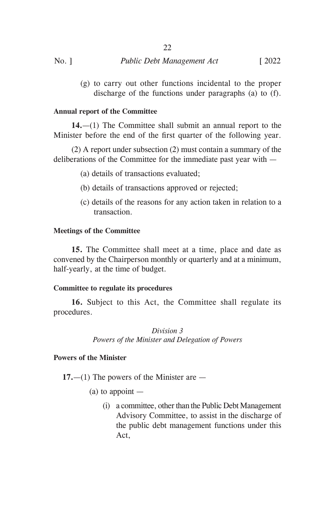| $No.$ ] | Public Debt Management Act | $\lceil 2022 \rceil$ |
|---------|----------------------------|----------------------|

(g) to carry out other functions incidental to the proper discharge of the functions under paragraphs (a) to (f).

# **Annual report of the Committee**

**14.**—(1) The Committee shall submit an annual report to the Minister before the end of the first quarter of the following year.

(2) A report under subsection (2) must contain a summary of the deliberations of the Committee for the immediate past year with —

- (a) details of transactions evaluated;
- (b) details of transactions approved or rejected;
- (c) details of the reasons for any action taken in relation to a transaction.

### **Meetings of the Committee**

**15.** The Committee shall meet at a time, place and date as convened by the Chairperson monthly or quarterly and at a minimum, half-yearly, at the time of budget.

### **Committee to regulate its procedures**

**16.** Subject to this Act, the Committee shall regulate its procedures.

> *Division 3 Powers of the Minister and Delegation of Powers*

### **Powers of the Minister**

**17.**—(1) The powers of the Minister are —

- $(a)$  to appoint  $-$ 
	- (i) a committee, other than the Public Debt Management Advisory Committee, to assist in the discharge of the public debt management functions under this Act,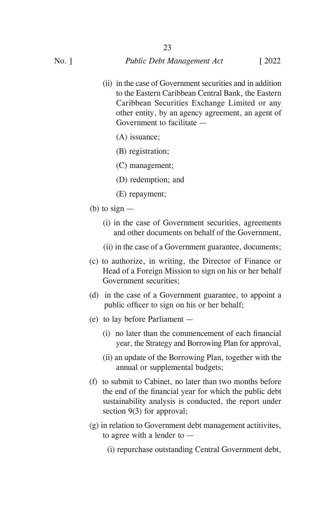(ii) in the case of Government securities and in addition to the Eastern Caribbean Central Bank, the Eastern Caribbean Securities Exchange Limited or any other entity, by an agency agreement, an agent of Government to facilitate —

23

- (A) issuance;
- (B) registration;
- (C) management;
- (D) redemption; and
- (E) repayment;
- (b) to sign  $-$ 
	- (i) in the case of Government securities, agreements and other documents on behalf of the Government,
	- (ii) in the case of a Government guarantee, documents;
- (c) to authorize, in writing, the Director of Finance or Head of a Foreign Mission to sign on his or her behalf Government securities;
- (d) in the case of a Government guarantee, to appoint a public officer to sign on his or her behalf;
- (e) to lay before Parliament
	- (i) no later than the commencement of each financial year, the Strategy and Borrowing Plan for approval,
	- (ii) an update of the Borrowing Plan, together with the annual or supplemental budgets;
- (f) to submit to Cabinet, no later than two months before the end of the financial year for which the public debt sustainability analysis is conducted, the report under section 9(3) for approval;
- (g) in relation to Government debt management actitivites, to agree with a lender to —
	- (i) repurchase outstanding Central Government debt,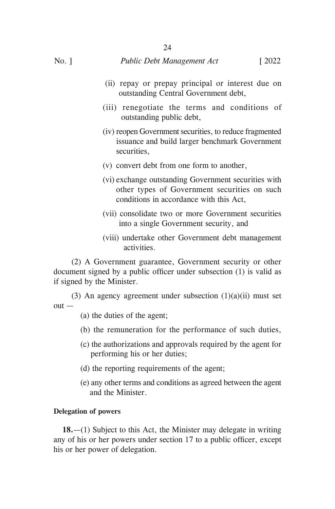- (ii) repay or prepay principal or interest due on outstanding Central Government debt,
- (iii) renegotiate the terms and conditions of outstanding public debt,
- (iv) reopen Government securities, to reduce fragmented issuance and build larger benchmark Government securities,
- (v) convert debt from one form to another,
- (vi) exchange outstanding Government securities with other types of Government securities on such conditions in accordance with this Act,
- (vii) consolidate two or more Government securities into a single Government security, and
- (viii) undertake other Government debt management activities.

(2) A Government guarantee, Government security or other document signed by a public officer under subsection (1) is valid as if signed by the Minister.

(3) An agency agreement under subsection  $(1)(a)(ii)$  must set  $out -$ 

- (a) the duties of the agent;
- (b) the remuneration for the performance of such duties,
- (c) the authorizations and approvals required by the agent for performing his or her duties;
- (d) the reporting requirements of the agent;
- (e) any other terms and conditions as agreed between the agent and the Minister.

### **Delegation of powers**

**18.**—(1) Subject to this Act, the Minister may delegate in writing any of his or her powers under section 17 to a public officer, except his or her power of delegation.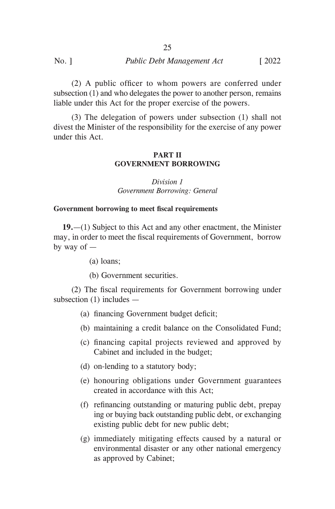(2) A public officer to whom powers are conferred under subsection (1) and who delegates the power to another person, remains liable under this Act for the proper exercise of the powers.

(3) The delegation of powers under subsection (1) shall not divest the Minister of the responsibility for the exercise of any power under this Act.

### **PART II GOVERNMENT BORROWING**

*Division 1 Government Borrowing: General*

# **Government borrowing to meet fiscal requirements**

**19.**—(1) Subject to this Act and any other enactment, the Minister may, in order to meet the fiscal requirements of Government, borrow by way of —

- (a) loans;
- (b) Government securities.

(2) The fiscal requirements for Government borrowing under subsection (1) includes —

- (a) financing Government budget deficit;
- (b) maintaining a credit balance on the Consolidated Fund;
- (c) financing capital projects reviewed and approved by Cabinet and included in the budget;
- (d) on-lending to a statutory body;
- (e) honouring obligations under Government guarantees created in accordance with this Act;
- (f) refinancing outstanding or maturing public debt, prepay ing or buying back outstanding public debt, or exchanging existing public debt for new public debt;
- (g) immediately mitigating effects caused by a natural or environmental disaster or any other national emergency as approved by Cabinet;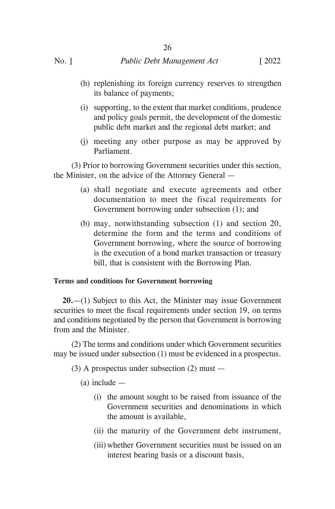(h) replenishing its foreign currency reserves to strengthen its balance of payments;

26

- (i) supporting, to the extent that market conditions, prudence and policy goals permit, the development of the domestic public debt market and the regional debt market; and
- (j) meeting any other purpose as may be approved by Parliament.

(3) Prior to borrowing Government securities under this section, the Minister, on the advice of the Attorney General —

- (a) shall negotiate and execute agreements and other documentation to meet the fiscal requirements for Government borrowing under subsection (1); and
- (b) may, notwithstanding subsection (1) and section 20, determine the form and the terms and conditions of Government borrowing, where the source of borrowing is the execution of a bond market transaction or treasury bill, that is consistent with the Borrowing Plan.

# **Terms and conditions for Government borrowing**

**20.**—(1) Subject to this Act, the Minister may issue Government securities to meet the fiscal requirements under section 19, on terms and conditions negotiated by the person that Government is borrowing from and the Minister.

(2) The terms and conditions under which Government securities may be issued under subsection (1) must be evidenced in a prospectus.

- (3) A prospectus under subsection (2) must
	- (a) include
		- (i) the amount sought to be raised from issuance of the Government securities and denominations in which the amount is available,
		- (ii) the maturity of the Government debt instrument,
		- (iii) whether Government securities must be issued on an interest bearing basis or a discount basis,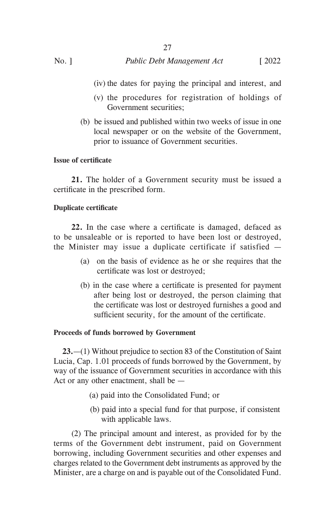(iv) the dates for paying the principal and interest, and

- (v) the procedures for registration of holdings of Government securities;
- (b)be issued and published within two weeks of issue in one local newspaper or on the website of the Government, prior to issuance of Government securities.

# **Issue of certificate**

**21.** The holder of a Government security must be issued a certificate in the prescribed form.

27

# **Duplicate certificate**

**22.** In the case where a certificate is damaged, defaced as to be unsaleable or is reported to have been lost or destroyed, the Minister may issue a duplicate certificate if satisfied —

- (a) on the basis of evidence as he or she requires that the certificate was lost or destroyed;
- (b) in the case where a certificate is presented for payment after being lost or destroyed, the person claiming that the certificate was lost or destroyed furnishes a good and sufficient security, for the amount of the certificate.

# **Proceeds of funds borrowed by Government**

**23.**—(1) Without prejudice to section 83 of the Constitution of Saint Lucia, Cap. 1.01 proceeds of funds borrowed by the Government, by way of the issuance of Government securities in accordance with this Act or any other enactment, shall be —

- (a) paid into the Consolidated Fund; or
- (b) paid into a special fund for that purpose, if consistent with applicable laws.

(2) The principal amount and interest, as provided for by the terms of the Government debt instrument, paid on Government borrowing, including Government securities and other expenses and charges related to the Government debt instruments as approved by the Minister, are a charge on and is payable out of the Consolidated Fund.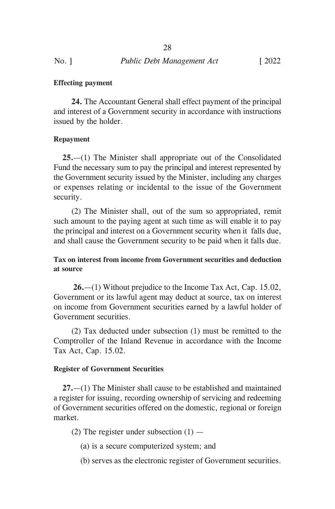**Effecting payment**

**24.** The Accountant General shall effect payment of the principal and interest of a Government security in accordance with instructions issued by the holder.

# **Repayment**

**25.**—(1) The Minister shall appropriate out of the Consolidated Fund the necessary sum to pay the principal and interest represented by the Government security issued by the Minister, including any charges or expenses relating or incidental to the issue of the Government security.

(2) The Minister shall, out of the sum so appropriated, remit such amount to the paying agent at such time as will enable it to pay the principal and interest on a Government security when it falls due, and shall cause the Government security to be paid when it falls due.

**Tax on interest from income from Government securities and deduction at source**

 **26.**—(1) Without prejudice to the Income Tax Act, Cap. 15.02, Government or its lawful agent may deduct at source, tax on interest on income from Government securities earned by a lawful holder of Government securities.

(2) Tax deducted under subsection (1) must be remitted to the Comptroller of the Inland Revenue in accordance with the Income Tax Act, Cap. 15.02.

### **Register of Government Securities**

**27.**—(1) The Minister shall cause to be established and maintained a register for issuing, recording ownership of servicing and redeeming of Government securities offered on the domestic, regional or foreign market.

(2) The register under subsection  $(1)$  —

- (a) is a secure computerized system; and
- (b) serves as the electronic register of Government securities.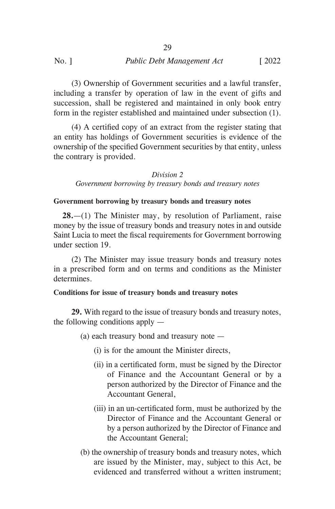(3) Ownership of Government securities and a lawful transfer, including a transfer by operation of law in the event of gifts and succession, shall be registered and maintained in only book entry form in the register established and maintained under subsection (1).

(4) A certified copy of an extract from the register stating that an entity has holdings of Government securities is evidence of the ownership of the specified Government securities by that entity, unless the contrary is provided.

### *Division 2*

### *Government borrowing by treasury bonds and treasury notes*

### **Government borrowing by treasury bonds and treasury notes**

**28.**—(1) The Minister may, by resolution of Parliament, raise money by the issue of treasury bonds and treasury notes in and outside Saint Lucia to meet the fiscal requirements for Government borrowing under section 19.

(2) The Minister may issue treasury bonds and treasury notes in a prescribed form and on terms and conditions as the Minister determines.

### **Conditions for issue of treasury bonds and treasury notes**

**29.** With regard to the issue of treasury bonds and treasury notes, the following conditions apply —

(a) each treasury bond and treasury note —

- (i) is for the amount the Minister directs,
- (ii) in a certificated form, must be signed by the Director of Finance and the Accountant General or by a person authorized by the Director of Finance and the Accountant General,
- (iii) in an un-certificated form, must be authorized by the Director of Finance and the Accountant General or by a person authorized by the Director of Finance and the Accountant General;
- (b) the ownership of treasury bonds and treasury notes, which are issued by the Minister, may, subject to this Act, be evidenced and transferred without a written instrument;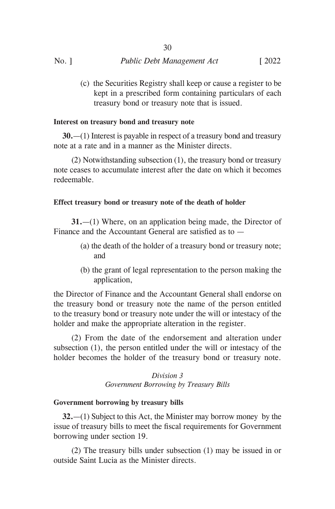|         | 30                         |               |
|---------|----------------------------|---------------|
| $No.$ ] | Public Debt Management Act | $\sqrt{2022}$ |

(c) the Securities Registry shall keep or cause a register to be kept in a prescribed form containing particulars of each treasury bond or treasury note that is issued.

### **Interest on treasury bond and treasury note**

**30.**—(1) Interest is payable in respect of a treasury bond and treasury note at a rate and in a manner as the Minister directs.

(2) Notwithstanding subsection (1), the treasury bond or treasury note ceases to accumulate interest after the date on which it becomes redeemable.

### **Effect treasury bond or treasury note of the death of holder**

**31.**—(1) Where, on an application being made, the Director of Finance and the Accountant General are satisfied as to —

- (a) the death of the holder of a treasury bond or treasury note; and
- (b) the grant of legal representation to the person making the application,

the Director of Finance and the Accountant General shall endorse on the treasury bond or treasury note the name of the person entitled to the treasury bond or treasury note under the will or intestacy of the holder and make the appropriate alteration in the register.

(2) From the date of the endorsement and alteration under subsection (1), the person entitled under the will or intestacy of the holder becomes the holder of the treasury bond or treasury note.

# *Division 3 Government Borrowing by Treasury Bills*

#### **Government borrowing by treasury bills**

**32.**—(1) Subject to this Act, the Minister may borrow money by the issue of treasury bills to meet the fiscal requirements for Government borrowing under section 19.

(2) The treasury bills under subsection (1) may be issued in or outside Saint Lucia as the Minister directs.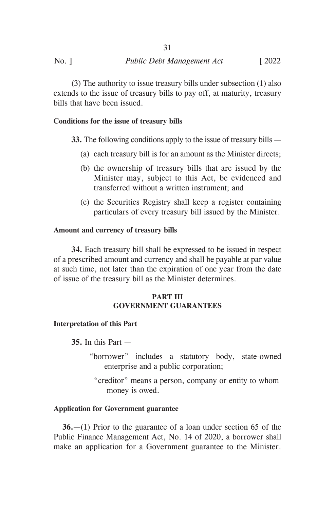(3) The authority to issue treasury bills under subsection (1) also extends to the issue of treasury bills to pay off, at maturity, treasury bills that have been issued.

# **Conditions for the issue of treasury bills**

**33.** The following conditions apply to the issue of treasury bills —

- (a) each treasury bill is for an amount as the Minister directs;
- (b) the ownership of treasury bills that are issued by the Minister may, subject to this Act, be evidenced and transferred without a written instrument; and
- (c) the Securities Registry shall keep a register containing particulars of every treasury bill issued by the Minister.

### **Amount and currency of treasury bills**

**34.** Each treasury bill shall be expressed to be issued in respect of a prescribed amount and currency and shall be payable at par value at such time, not later than the expiration of one year from the date of issue of the treasury bill as the Minister determines.

# **PART III GOVERNMENT GUARANTEES**

### **Interpretation of this Part**

**35.** In this Part —

- "borrower" includes a statutory body, state-owned enterprise and a public corporation;
	- "creditor" means a person, company or entity to whom money is owed.

### **Application for Government guarantee**

**36.**—(1) Prior to the guarantee of a loan under section 65 of the Public Finance Management Act, No. 14 of 2020, a borrower shall make an application for a Government guarantee to the Minister.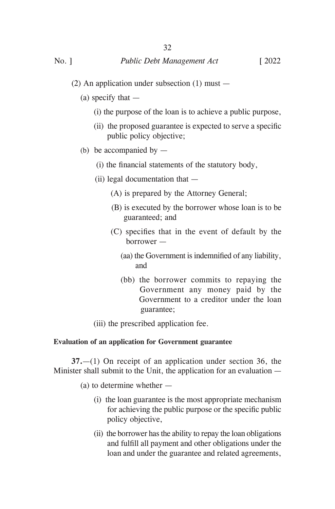- (2) An application under subsection (1) must
	- (a) specify that  $-$ 
		- (i) the purpose of the loan is to achieve a public purpose,
		- (ii) the proposed guarantee is expected to serve a specific public policy objective;
	- (b) be accompanied by  $-$ 
		- (i) the financial statements of the statutory body,
		- (ii) legal documentation that
			- (A) is prepared by the Attorney General;
			- (B) is executed by the borrower whose loan is to be guaranteed; and
			- (C) specifies that in the event of default by the borrower —
				- (aa) the Government is indemnified of any liability, and
				- (bb) the borrower commits to repaying the Government any money paid by the Government to a creditor under the loan guarantee;
		- (iii) the prescribed application fee.

# **Evaluation of an application for Government guarantee**

**37.**—(1) On receipt of an application under section 36, the Minister shall submit to the Unit, the application for an evaluation —

(a) to determine whether —

- (i) the loan guarantee is the most appropriate mechanism for achieving the public purpose or the specific public policy objective,
- (ii) the borrower has the ability to repay the loan obligations and fulfill all payment and other obligations under the loan and under the guarantee and related agreements,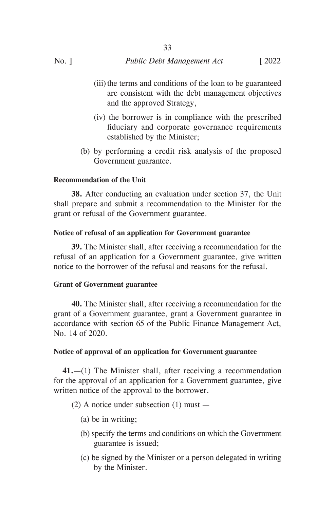(iii) the terms and conditions of the loan to be guaranteed are consistent with the debt management objectives and the approved Strategy,

33

- (iv) the borrower is in compliance with the prescribed fiduciary and corporate governance requirements established by the Minister;
- (b) by performing a credit risk analysis of the proposed Government guarantee.

# **Recommendation of the Unit**

**38.** After conducting an evaluation under section 37, the Unit shall prepare and submit a recommendation to the Minister for the grant or refusal of the Government guarantee.

# **Notice of refusal of an application for Government guarantee**

**39.** The Minister shall, after receiving a recommendation for the refusal of an application for a Government guarantee, give written notice to the borrower of the refusal and reasons for the refusal.

# **Grant of Government guarantee**

**40.** The Minister shall, after receiving a recommendation for the grant of a Government guarantee, grant a Government guarantee in accordance with section 65 of the Public Finance Management Act, No. 14 of 2020.

# **Notice of approval of an application for Government guarantee**

**41.**—(1) The Minister shall, after receiving a recommendation for the approval of an application for a Government guarantee, give written notice of the approval to the borrower.

(2) A notice under subsection  $(1)$  must —

- (a) be in writing;
- (b) specify the terms and conditions on which the Government guarantee is issued;
- (c) be signed by the Minister or a person delegated in writing by the Minister.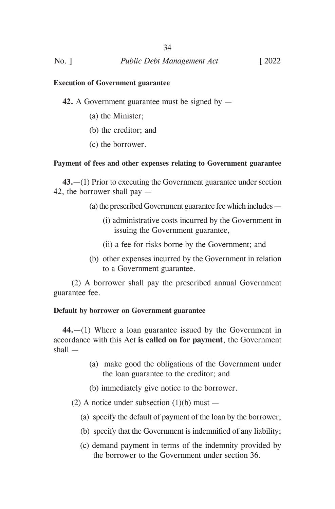### **Execution of Government guarantee**

**42.** A Government guarantee must be signed by —

- (a) the Minister;
- (b) the creditor; and
- (c) the borrower.

### **Payment of fees and other expenses relating to Government guarantee**

**43.**—(1) Prior to executing the Government guarantee under section 42, the borrower shall pay —

- (a) the prescribed Government guarantee fee which includes
	- (i) administrative costs incurred by the Government in issuing the Government guarantee,
	- (ii) a fee for risks borne by the Government; and
- (b) other expenses incurred by the Government in relation to a Government guarantee.

(2) A borrower shall pay the prescribed annual Government guarantee fee.

### **Default by borrower on Government guarantee**

**44.**—(1) Where a loan guarantee issued by the Government in accordance with this Act **is called on for payment**, the Government shall —

- (a) make good the obligations of the Government under the loan guarantee to the creditor; and
- (b) immediately give notice to the borrower.
- (2) A notice under subsection  $(1)(b)$  must
	- (a) specify the default of payment of the loan by the borrower;
	- (b) specify that the Government is indemnified of any liability;
	- (c) demand payment in terms of the indemnity provided by the borrower to the Government under section 36.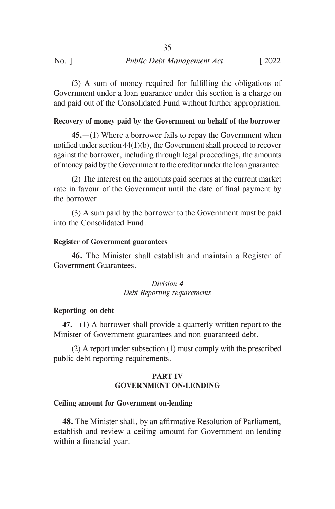(3) A sum of money required for fulfilling the obligations of Government under a loan guarantee under this section is a charge on and paid out of the Consolidated Fund without further appropriation.

# **Recovery of money paid by the Government on behalf of the borrower**

**45.**—(1) Where a borrower fails to repay the Government when notified under section 44(1)(b), the Government shall proceed to recover against the borrower, including through legal proceedings, the amounts of money paid by the Government to the creditor under the loan guarantee.

(2) The interest on the amounts paid accrues at the current market rate in favour of the Government until the date of final payment by the borrower.

(3) A sum paid by the borrower to the Government must be paid into the Consolidated Fund.

# **Register of Government guarantees**

**46.** The Minister shall establish and maintain a Register of Government Guarantees.

# *Division 4 Debt Reporting requirements*

# **Reporting on debt**

**47.**—(1) A borrower shall provide a quarterly written report to the Minister of Government guarantees and non-guaranteed debt.

(2) A report under subsection (1) must comply with the prescribed public debt reporting requirements.

# **PART IV GOVERNMENT ON-LENDING**

# **Ceiling amount for Government on-lending**

**48.** The Minister shall, by an affirmative Resolution of Parliament, establish and review a ceiling amount for Government on-lending within a financial year.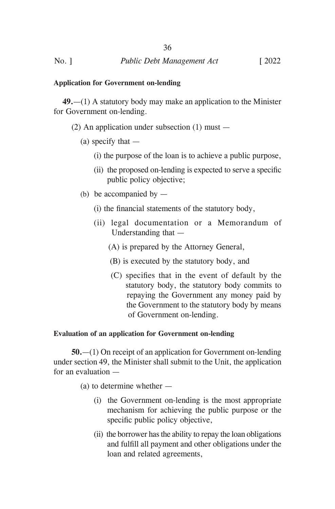### **Application for Government on-lending**

**49.**—(1) A statutory body may make an application to the Minister for Government on-lending.

- (2) An application under subsection (1) must
	- (a) specify that  $-$ 
		- (i) the purpose of the loan is to achieve a public purpose,
		- (ii) the proposed on-lending is expected to serve a specific public policy objective;
	- (b) be accompanied by  $-$ 
		- (i) the financial statements of the statutory body,
		- (ii) legal documentation or a Memorandum of Understanding that —
			- (A) is prepared by the Attorney General,
			- (B) is executed by the statutory body, and
			- (C) specifies that in the event of default by the statutory body, the statutory body commits to repaying the Government any money paid by the Government to the statutory body by means of Government on-lending.

### **Evaluation of an application for Government on-lending**

**50.**—(1) On receipt of an application for Government on-lending under section 49, the Minister shall submit to the Unit, the application for an evaluation —

(a) to determine whether —

- (i) the Government on-lending is the most appropriate mechanism for achieving the public purpose or the specific public policy objective,
- (ii) the borrower has the ability to repay the loan obligations and fulfill all payment and other obligations under the loan and related agreements,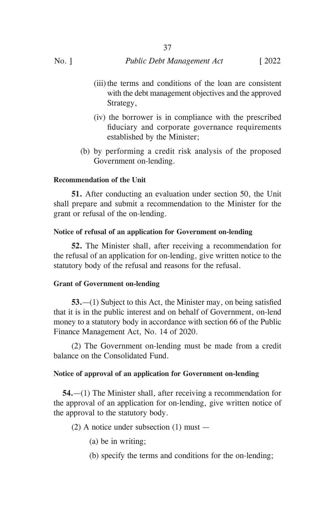(iii) the terms and conditions of the loan are consistent with the debt management objectives and the approved Strategy,

37

- (iv) the borrower is in compliance with the prescribed fiduciary and corporate governance requirements established by the Minister;
- (b) by performing a credit risk analysis of the proposed Government on-lending.

# **Recommendation of the Unit**

**51.** After conducting an evaluation under section 50, the Unit shall prepare and submit a recommendation to the Minister for the grant or refusal of the on-lending.

# **Notice of refusal of an application for Government on-lending**

**52.** The Minister shall, after receiving a recommendation for the refusal of an application for on-lending, give written notice to the statutory body of the refusal and reasons for the refusal.

# **Grant of Government on-lending**

**53.**—(1) Subject to this Act, the Minister may, on being satisfied that it is in the public interest and on behalf of Government, on-lend money to a statutory body in accordance with section 66 of the Public Finance Management Act, No. 14 of 2020.

(2) The Government on-lending must be made from a credit balance on the Consolidated Fund.

# **Notice of approval of an application for Government on-lending**

**54.**—(1) The Minister shall, after receiving a recommendation for the approval of an application for on-lending, give written notice of the approval to the statutory body.

(2) A notice under subsection (1) must —

- (a) be in writing;
- (b) specify the terms and conditions for the on-lending;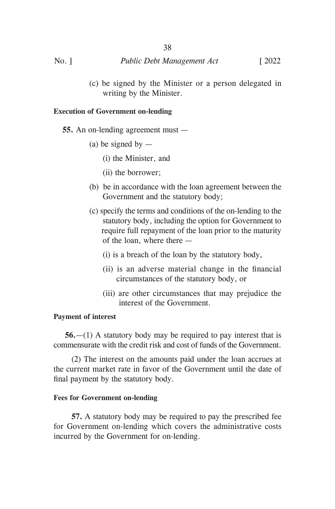| $No.$ ] | Public Debt Management Act | $\sqrt{2022}$ |
|---------|----------------------------|---------------|

(c) be signed by the Minister or a person delegated in writing by the Minister.

### **Execution of Government on-lending**

- **55.** An on-lending agreement must
	- (a) be signed by  $-$ 
		- (i) the Minister, and
		- (ii) the borrower;
	- (b) be in accordance with the loan agreement between the Government and the statutory body;
	- (c) specify the terms and conditions of the on-lending to the statutory body, including the option for Government to require full repayment of the loan prior to the maturity of the loan, where there —
		- (i) is a breach of the loan by the statutory body,
		- (ii) is an adverse material change in the financial circumstances of the statutory body, or
		- (iii) are other circumstances that may prejudice the interest of the Government.

# **Payment of interest**

**56.**—(1) A statutory body may be required to pay interest that is commensurate with the credit risk and cost of funds of the Government.

(2) The interest on the amounts paid under the loan accrues at the current market rate in favor of the Government until the date of final payment by the statutory body.

# **Fees for Government on-lending**

**57.** A statutory body may be required to pay the prescribed fee for Government on-lending which covers the administrative costs incurred by the Government for on-lending.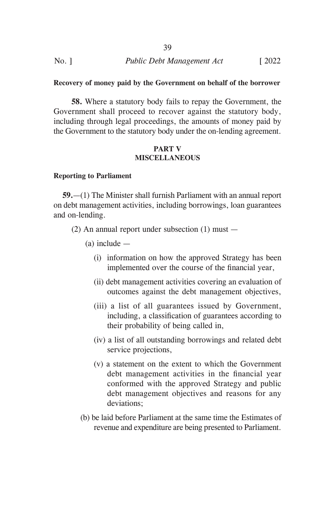| $No.$ ] | Public Debt Management Act | $\lceil 2022 \rceil$ |
|---------|----------------------------|----------------------|

### **Recovery of money paid by the Government on behalf of the borrower**

**58.** Where a statutory body fails to repay the Government, the Government shall proceed to recover against the statutory body, including through legal proceedings, the amounts of money paid by the Government to the statutory body under the on-lending agreement.

### **PART V MISCELLANEOUS**

#### **Reporting to Parliament**

**59.**—(1) The Minister shall furnish Parliament with an annual report on debt management activities, including borrowings, loan guarantees and on-lending.

- (2) An annual report under subsection (1) must
	- (a) include
		- (i) information on how the approved Strategy has been implemented over the course of the financial year,
		- (ii) debt management activities covering an evaluation of outcomes against the debt management objectives,
		- (iii) a list of all guarantees issued by Government, including, a classification of guarantees according to their probability of being called in,
		- (iv) a list of all outstanding borrowings and related debt service projections,
		- (v) a statement on the extent to which the Government debt management activities in the financial year conformed with the approved Strategy and public debt management objectives and reasons for any deviations;
	- (b) be laid before Parliament at the same time the Estimates of revenue and expenditure are being presented to Parliament.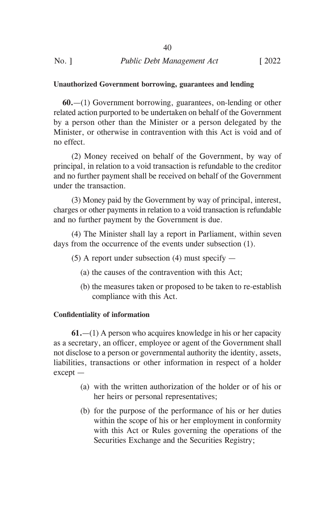# **Unauthorized Government borrowing, guarantees and lending**

**60.**—(1) Government borrowing, guarantees, on-lending or other related action purported to be undertaken on behalf of the Government by a person other than the Minister or a person delegated by the Minister, or otherwise in contravention with this Act is void and of no effect.

(2) Money received on behalf of the Government, by way of principal, in relation to a void transaction is refundable to the creditor and no further payment shall be received on behalf of the Government under the transaction.

(3) Money paid by the Government by way of principal, interest, charges or other payments in relation to a void transaction is refundable and no further payment by the Government is due.

(4) The Minister shall lay a report in Parliament, within seven days from the occurrence of the events under subsection (1).

 $(5)$  A report under subsection  $(4)$  must specify —

- (a) the causes of the contravention with this Act;
- (b) the measures taken or proposed to be taken to re-establish compliance with this Act.

# **Confidentiality of information**

**61.**—(1) A person who acquires knowledge in his or her capacity as a secretary, an officer, employee or agent of the Government shall not disclose to a person or governmental authority the identity, assets, liabilities, transactions or other information in respect of a holder except —

- (a) with the written authorization of the holder or of his or her heirs or personal representatives;
- (b) for the purpose of the performance of his or her duties within the scope of his or her employment in conformity with this Act or Rules governing the operations of the Securities Exchange and the Securities Registry;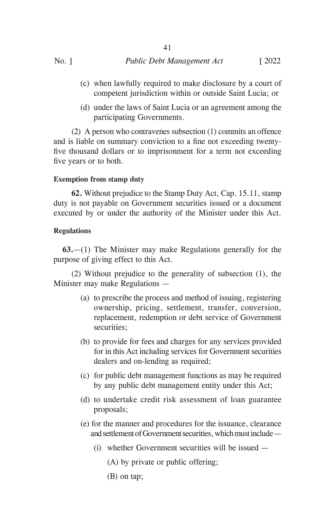- (c) when lawfully required to make disclosure by a court of competent jurisdiction within or outside Saint Lucia; or
- (d) under the laws of Saint Lucia or an agreement among the participating Governments.

(2) A person who contravenes subsection (1) commits an offence and is liable on summary conviction to a fine not exceeding twentyfive thousand dollars or to imprisonment for a term not exceeding five years or to both.

41

# **Exemption from stamp duty**

**62.** Without prejudice to the Stamp Duty Act, Cap. 15.11, stamp duty is not payable on Government securities issued or a document executed by or under the authority of the Minister under this Act.

# **Regulations**

**63.**—(1) The Minister may make Regulations generally for the purpose of giving effect to this Act.

(2) Without prejudice to the generality of subsection (1), the Minister may make Regulations —

- (a) to prescribe the process and method of issuing, registering ownership, pricing, settlement, transfer, conversion, replacement, redemption or debt service of Government securities;
- (b) to provide for fees and charges for any services provided for in this Act including services for Government securities dealers and on-lending as required;
- (c) for public debt management functions as may be required by any public debt management entity under this Act;
- (d) to undertake credit risk assessment of loan guarantee proposals;
- (e) for the manner and procedures for the issuance, clearance and settlement of Government securities, which must include —
	- (i) whether Government securities will be issued
		- (A) by private or public offering;
		- (B) on tap;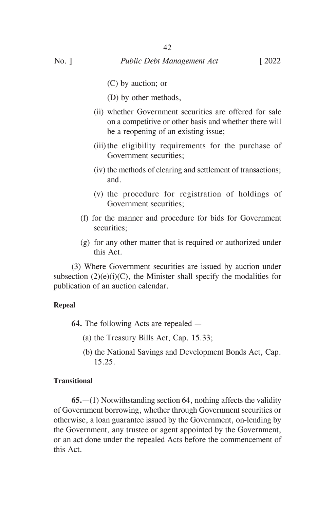- (C) by auction; or
	- (D) by other methods,
- (ii) whether Government securities are offered for sale on a competitive or other basis and whether there will be a reopening of an existing issue;
- (iii) the eligibility requirements for the purchase of Government securities;
- (iv) the methods of clearing and settlement of transactions; and.
- (v) the procedure for registration of holdings of Government securities;
- (f) for the manner and procedure for bids for Government securities;
- (g) for any other matter that is required or authorized under this Act.

(3) Where Government securities are issued by auction under subsection  $(2)(e)(i)(C)$ , the Minister shall specify the modalities for publication of an auction calendar.

# **Repeal**

**64.** The following Acts are repealed —

- (a) the Treasury Bills Act, Cap. 15.33;
- (b) the National Savings and Development Bonds Act, Cap. 15.25.

# **Transitional**

**65.**—(1) Notwithstanding section 64, nothing affects the validity of Government borrowing, whether through Government securities or otherwise, a loan guarantee issued by the Government, on-lending by the Government, any trustee or agent appointed by the Government, or an act done under the repealed Acts before the commencement of this Act.